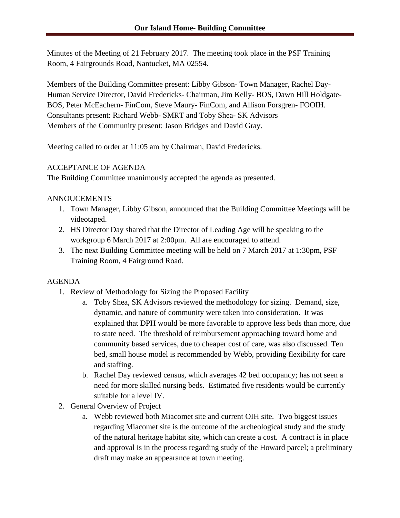Minutes of the Meeting of 21 February 2017. The meeting took place in the PSF Training Room, 4 Fairgrounds Road, Nantucket, MA 02554.

Members of the Building Committee present: Libby Gibson- Town Manager, Rachel Day-Human Service Director, David Fredericks- Chairman, Jim Kelly- BOS, Dawn Hill Holdgate-BOS, Peter McEachern- FinCom, Steve Maury- FinCom, and Allison Forsgren- FOOIH. Consultants present: Richard Webb- SMRT and Toby Shea- SK Advisors Members of the Community present: Jason Bridges and David Gray.

Meeting called to order at 11:05 am by Chairman, David Fredericks.

# ACCEPTANCE OF AGENDA

The Building Committee unanimously accepted the agenda as presented.

#### ANNOUCEMENTS

- 1. Town Manager, Libby Gibson, announced that the Building Committee Meetings will be videotaped.
- 2. HS Director Day shared that the Director of Leading Age will be speaking to the workgroup 6 March 2017 at 2:00pm. All are encouraged to attend.
- 3. The next Building Committee meeting will be held on 7 March 2017 at 1:30pm, PSF Training Room, 4 Fairground Road.

# AGENDA

- 1. Review of Methodology for Sizing the Proposed Facility
	- a. Toby Shea, SK Advisors reviewed the methodology for sizing. Demand, size, dynamic, and nature of community were taken into consideration. It was explained that DPH would be more favorable to approve less beds than more, due to state need. The threshold of reimbursement approaching toward home and community based services, due to cheaper cost of care, was also discussed. Ten bed, small house model is recommended by Webb, providing flexibility for care and staffing.
	- b. Rachel Day reviewed census, which averages 42 bed occupancy; has not seen a need for more skilled nursing beds. Estimated five residents would be currently suitable for a level IV.
- 2. General Overview of Project
	- a. Webb reviewed both Miacomet site and current OIH site. Two biggest issues regarding Miacomet site is the outcome of the archeological study and the study of the natural heritage habitat site, which can create a cost. A contract is in place and approval is in the process regarding study of the Howard parcel; a preliminary draft may make an appearance at town meeting.